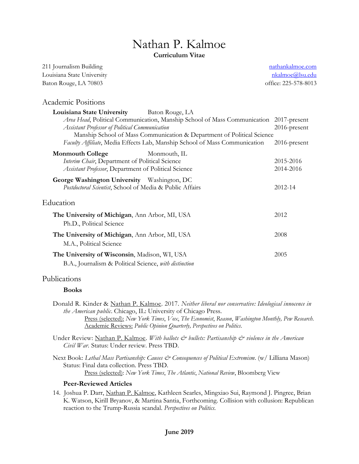# Nathan P. Kalmoe **Curriculum Vitae**

211 Journalism Building Louisiana State University Baton Rouge, LA 70803

[nathankalmoe.com](file:///C:/Users/nkalmoe/Dropbox/Professional/nathankalmoe.com) [nkalmoe@lsu.edu](mailto:nkalmoe@lsu.edu) office: 225-578-8013

## Academic Positions

| Louisiana State University Baton Rouge, LA                                 |                 |
|----------------------------------------------------------------------------|-----------------|
| Area Head, Political Communication, Manship School of Mass Communication   | 2017-present    |
| Assistant Professor of Political Communication                             | $2016$ -present |
| Manship School of Mass Communication & Department of Political Science     |                 |
| Faculty Affiliate, Media Effects Lab, Manship School of Mass Communication | 2016-present    |
| <b>Monmouth College</b><br>Monmouth, IL                                    |                 |
| Interim Chair, Department of Political Science                             | 2015-2016       |
| Assistant Professor, Department of Political Science                       | 2014-2016       |
| George Washington University Washington, DC                                |                 |
| Postdoctoral Scientist, School of Media & Public Affairs                   | 2012-14         |
| Education                                                                  |                 |
| The University of Michigan, Ann Arbor, MI, USA                             | 2012            |
| Ph.D., Political Science                                                   |                 |
| The University of Michigan, Ann Arbor, MI, USA                             | 2008            |
| M.A., Political Science                                                    |                 |
| The University of Wisconsin, Madison, WI, USA                              | 2005            |
| B.A., Journalism & Political Science, with distinction                     |                 |

#### Publications

#### **Books**

Donald R. Kinder & Nathan P. Kalmoe. 2017. *Neither liberal nor conservative: Ideological innocence in the American public*. Chicago, IL: University of Chicago Press. Press (selected): *New York Times*, *Vox*, *The Economist*, *Reason*, *Washington Monthly, Pew Research*.

Academic Reviews: *Public Opinion Quarterly, Perspectives on Politics*.

Under Review: Nathan P. Kalmoe. *With ballots & bullets: Partisanship & violence in the American Civil War.* Status: Under review. Press TBD.

Next Book: *Lethal Mass Partisanship: Causes & Consequences of Political Extremism*. (w/ Lilliana Mason) Status: Final data collection. Press TBD. Press (selected): *New York Times*, *The Atlantic*, *National Review*, Bloomberg View

#### **Peer-Reviewed Articles**

14. Joshua P. Darr, Nathan P. Kalmoe, Kathleen Searles, Mingxiao Sui, Raymond J. Pingree, Brian K. Watson, Kirill Bryanov, & Martina Santia, Forthcoming. Collision with collusion: Republican reaction to the Trump-Russia scandal. *Perspectives on Politics*.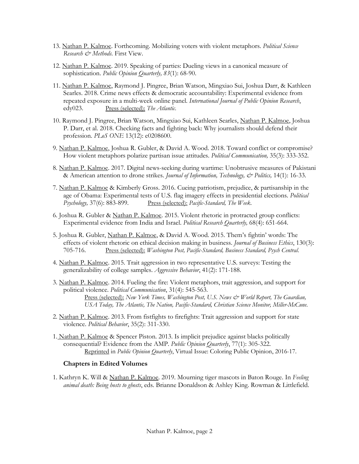- 13. Nathan P. Kalmoe. Forthcoming. Mobilizing voters with violent metaphors. *Political Science Research & Methods.* First View.
- 12. Nathan P. Kalmoe. 2019. Speaking of parties: Dueling views in a canonical measure of sophistication. *Public Opinion Quarterly, 83*(1): 68-90.
- 11. Nathan P. Kalmoe, Raymond J. Pingree, Brian Watson, Mingxiao Sui, Joshua Darr, & Kathleen Searles. 2018. Crime news effects & democratic accountability: Experimental evidence from repeated exposure in a multi-week online panel. *International Journal of Public Opinion Research*, edy023. Press (selected): *The Atlantic*.
- 10. Raymond J. Pingree, Brian Watson, Mingxiao Sui, Kathleen Searles, Nathan P. Kalmoe, Joshua P. Darr, et al. 2018. Checking facts and fighting back: Why journalists should defend their profession. *PLoS ONE* 13(12): e0208600.
- 9. Nathan P. Kalmoe, Joshua R. Gubler, & David A. Wood. 2018. Toward conflict or compromise? How violent metaphors polarize partisan issue attitudes. *Political Communication,* 35(3): 333-352.
- 8. Nathan P. Kalmoe. 2017. Digital news-seeking during wartime: Unobtrusive measures of Pakistani & American attention to drone strikes. *Journal of Information, Technology, & Politics,* 14(1): 16-33.
- 7. Nathan P. Kalmoe & Kimberly Gross. 2016. Cueing patriotism, prejudice, & partisanship in the age of Obama: Experimental tests of U.S. flag imagery effects in presidential elections. *Political*  Psychology, 37(6): 883-899. Press (selected): *Pacific-Standard, The Week*.
- 6. Joshua R. Gubler & Nathan P. Kalmoe. 2015. Violent rhetoric in protracted group conflicts: Experimental evidence from India and Israel. *Political Research Quarterly,* 68(4): 651-664.
- 5. Joshua R. Gubler, Nathan P. Kalmoe, & David A. Wood. 2015. Them's fightin' words: The effects of violent rhetoric on ethical decision making in business. *Journal of Business Ethics*, 130(3): 705-716. Press (selected): *Washington Post, Pacific-Standard, Business Standard, Psych Central*.
- 4. Nathan P. Kalmoe. 2015. Trait aggression in two representative U.S. surveys: Testing the generalizability of college samples. *Aggressive Behavior*, 41(2): 171-188.
- 3. Nathan P. Kalmoe. 2014. Fueling the fire: Violent metaphors, trait aggression, and support for political violence. *Political Communication*, 31(4): 545-563. Press (selected): *New York Times, Washington Post, U.S. News & World Report, The Guardian, USA Today, The Atlantic, The Nation, Pacific-Standard, Christian Science Monitor, Miller-McCune*.
- 2. Nathan P. Kalmoe. 2013. From fistfights to firefights: Trait aggression and support for state violence. *Political Behavior*, 35(2): 311-330.
- 1. Nathan P. Kalmoe & Spencer Piston. 2013. Is implicit prejudice against blacks politically consequential? Evidence from the AMP. *Public Opinion Quarterly*, 77(1): 305-322. Reprinted in *Public Opinion Quarterly*, Virtual Issue: Coloring Public Opinion, 2016-17.

#### **Chapters in Edited Volumes**

1. Kathryn K. Will & Nathan P. Kalmoe. 2019. Mourning tiger mascots in Baton Rouge. In *Feeling animal death: Being hosts to ghosts*, eds. Brianne Donaldson & Ashley King. Rowman & Littlefield.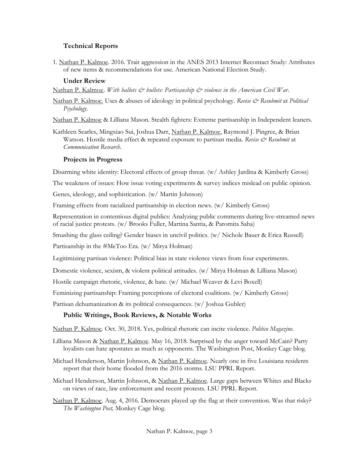### **Technical Reports**

1. Nathan P. Kalmoe. 2016. Trait aggression in the ANES 2013 Internet Recontact Study: Attributes of new items & recommendations for use. American National Election Study.

#### **Under Review**

Nathan P. Kalmoe. *With ballots & bullets: Partisanship & violence in the American Civil War*.

Nathan P. Kalmoe. Uses & abuses of ideology in political psychology. *Revise & Resubmit* at *Political Psychology*.

Nathan P. Kalmoe & Lilliana Mason. Stealth fighters: Extreme partisanship in Independent leaners.

Kathleen Searles, Mingxiao Sui, Joshua Darr, Nathan P. Kalmoe, Raymond J. Pingree, & Brian Watson. Hostile media effect & repeated exposure to partisan media. *Revise & Resubmit* at *Communication Research*.

### **Projects in Progress**

Disarming white identity: Electoral effects of group threat. (w/ Ashley Jardina & Kimberly Gross)

The weakness of issues: How issue voting experiments & survey indices mislead on public opinion.

Genes, ideology, and sophistication. (w/ Martin Johnson)

Framing effects from racialized partisanship in election news. (w/ Kimberly Gross)

Representation in contentious digital publics: Analyzing public comments during live-streamed news of racial justice protests. (w/ Brooks Fuller, Martina Santia, & Paromita Saha)

Smashing the glass ceiling? Gender biases in uncivil politics. (w/ Nichole Bauer & Erica Russell)

Partisanship in the #MeToo Era. (w/ Mirya Holman)

Legitimizing partisan violence: Political bias in state violence views from four experiments.

Domestic violence, sexism, & violent political attitudes. (w/ Mirya Holman & Lilliana Mason)

Hostile campaign rhetoric, violence, & hate. (w/ Michael Weaver & Levi Boxell)

Feminizing partisanship: Framing perceptions of electoral coalitions. (w/ Kimberly Gross)

Partisan dehumanization & its political consequences. (w/ Joshua Gubler)

### **Public Writings, Book Reviews, & Notable Works**

Nathan P. Kalmoe. Oct. 30, 2018. Yes, political rhetoric can incite violence. *Politico Magazine*.

- Lilliana Mason & Nathan P. Kalmoe. May 16, 2018. Surprised by the anger toward McCain? Party loyalists can hate apostates as much as opponents. The Washington Post, Monkey Cage blog.
- Michael Henderson, Martin Johnson, & Nathan P. Kalmoe. Nearly one in five Louisiana residents report that their home flooded from the 2016 storms. LSU PPRL Report.

Michael Henderson, Martin Johnson, & Nathan P. Kalmoe. Large gaps between Whites and Blacks on views of race, law enforcement and recent protests. LSU PPRL Report.

Nathan P. Kalmoe. Aug. 4, 2016. Democrats played up the flag at their convention. Was that risky? *The Washington Post,* Monkey Cage blog.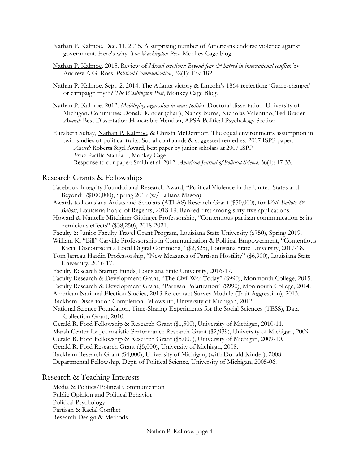- Nathan P. Kalmoe. Dec. 11, 2015. A surprising number of Americans endorse violence against government. Here's why. *The Washington Post,* Monkey Cage blog.
- Nathan P. Kalmoe. 2015. Review of *Mixed emotions: Beyond fear & hatred in international conflict*, by Andrew A.G. Ross. *Political Communication*, 32(1): 179-182.
- Nathan P. Kalmoe. Sept. 2, 2014. The Atlanta victory & Lincoln's 1864 reelection: 'Game-changer' or campaign myth? *The Washington Post*, Monkey Cage Blog.
- Nathan P. Kalmoe. 2012. *Mobilizing aggression in mass politics*. Doctoral dissertation. University of Michigan. Committee: Donald Kinder (chair), Nancy Burns, Nicholas Valentino, Ted Brader *Award*: Best Dissertation Honorable Mention, APSA Political Psychology Section
- Elizabeth Suhay, Nathan P. Kalmoe, & Christa McDermott. The equal environments assumption in twin studies of political traits: Social confounds & suggested remedies. 2007 ISPP paper. *Award:* Roberta Sigel Award, best paper by junior scholars at 2007 ISPP *Press*: Pacific-Standard, Monkey Cage Response to our paper: Smith et al. 2012. *American Journal of Political Science*. 56(1): 17-33.

#### Research Grants & Fellowships

Facebook Integrity Foundational Research Award, "Political Violence in the United States and Beyond" (\$100,000), Spring 2019 (w/ Lilliana Mason)

- Awards to Louisiana Artists and Scholars (ATLAS) Research Grant (\$50,000), for *With Ballots & Ballots*, Louisiana Board of Regents, 2018-19. Ranked first among sixty-five applications.
- Howard & Nantelle Mitchiner Gittinger Professorship, "Contentious partisan communication & its pernicious effects" (\$38,250), 2018-2021.
- Faculty & Junior Faculty Travel Grant Program, Louisiana State University (\$750), Spring 2019.

William K. "Bill" Carville Professorship in Communication & Political Empowerment, "Contentious Racial Discourse in a Local Digital Commons," (\$2,825), Louisiana State University, 2017-18.

Tom Jarreau Hardin Professorship, "New Measures of Partisan Hostility" (\$6,900), Louisiana State University, 2016-17.

Faculty Research Startup Funds, Louisiana State University, 2016-17.

Faculty Research & Development Grant, "The Civil War Today" (\$990), Monmouth College, 2015.

Faculty Research & Development Grant, "Partisan Polarization" (\$990), Monmouth College, 2014. American National Election Studies, 2013 Re-contact Survey Module (Trait Aggression), 2013.

Rackham Dissertation Completion Fellowship, University of Michigan, 2012.

National Science Foundation, Time-Sharing Experiments for the Social Sciences (TESS), Data Collection Grant, 2010.

Gerald R. Ford Fellowship & Research Grant (\$1,500), University of Michigan, 2010-11.

Marsh Center for Journalistic Performance Research Grant (\$2,939), University of Michigan, 2009.

Gerald R. Ford Fellowship & Research Grant (\$5,000), University of Michigan, 2009-10.

Gerald R. Ford Research Grant (\$5,000), University of Michigan, 2008.

Rackham Research Grant (\$4,000), University of Michigan, (with Donald Kinder), 2008.

Departmental Fellowship, Dept. of Political Science, University of Michigan, 2005-06.

#### Research & Teaching Interests

Media & Politics/Political Communication Public Opinion and Political Behavior Political Psychology Partisan & Racial Conflict Research Design & Methods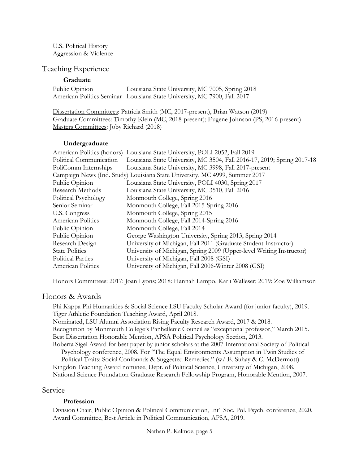U.S. Political History Aggression & Violence

### Teaching Experience

#### **Graduate**

| Public Opinion | Louisiana State University, MC 7005, Spring 2018                         |
|----------------|--------------------------------------------------------------------------|
|                | American Politics Seminar Louisiana State University, MC 7900, Fall 2017 |

Dissertation Committees: Patricia Smith (MC, 2017-present), Brian Watson (2019) Graduate Committees: Timothy Klein (MC, 2018-present); Eugene Johnson (PS, 2016-present) Masters Committees: Joby Richard (2018)

#### **Undergraduate**

| American Politics (honors) Louisiana State University, POLI 2052, Fall 2019 |  |  |  |
|-----------------------------------------------------------------------------|--|--|--|
| Louisiana State University, MC 3504, Fall 2016-17, 2019; Spring 2017-18     |  |  |  |
| Louisiana State University, MC 3998, Fall 2017-present                      |  |  |  |
| Campaign News (Ind. Study) Louisiana State University, MC 4999, Summer 2017 |  |  |  |
| Louisiana State University, POLI 4030, Spring 2017                          |  |  |  |
| Louisiana State University, MC 3510, Fall 2016                              |  |  |  |
| Monmouth College, Spring 2016                                               |  |  |  |
| Monmouth College, Fall 2015-Spring 2016                                     |  |  |  |
| Monmouth College, Spring 2015                                               |  |  |  |
| Monmouth College, Fall 2014-Spring 2016                                     |  |  |  |
| Monmouth College, Fall 2014                                                 |  |  |  |
| George Washington University, Spring 2013, Spring 2014                      |  |  |  |
| University of Michigan, Fall 2011 (Graduate Student Instructor)             |  |  |  |
| University of Michigan, Spring 2009 (Upper-level Writing Instructor)        |  |  |  |
| University of Michigan, Fall 2008 (GSI)                                     |  |  |  |
| University of Michigan, Fall 2006-Winter 2008 (GSI)                         |  |  |  |
|                                                                             |  |  |  |

Honors Committees: 2017: Joan Lyons; 2018: Hannah Lampo, Karli Walleser; 2019: Zoe Williamson

### Honors & Awards

Phi Kappa Phi Humanities & Social Science LSU Faculty Scholar Award (for junior faculty), 2019. Tiger Athletic Foundation Teaching Award, April 2018. Nominated, LSU Alumni Association Rising Faculty Research Award, 2017 & 2018. Recognition by Monmouth College's Panhellenic Council as "exceptional professor," March 2015. Best Dissertation Honorable Mention, APSA Political Psychology Section, 2013. Roberta Sigel Award for best paper by junior scholars at the 2007 International Society of Political Psychology conference, 2008. For "The Equal Environments Assumption in Twin Studies of Political Traits: Social Confounds & Suggested Remedies." (w/ E. Suhay & C. McDermott) Kingdon Teaching Award nominee, Dept. of Political Science, University of Michigan, 2008.

National Science Foundation Graduate Research Fellowship Program, Honorable Mention, 2007.

#### Service

#### **Profession**

Division Chair, Public Opinion & Political Communication, Int'l Soc. Pol. Psych. conference, 2020. Award Committee, Best Article in Political Communication, APSA, 2019.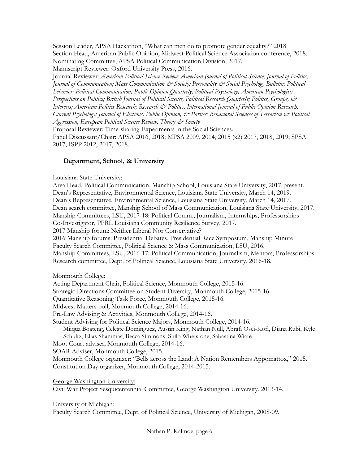Session Leader, APSA Hackathon, "What can men do to promote gender equality?" 2018 Section Head, American Public Opinion, Midwest Political Science Association conference, 2018. Nominating Committee, APSA Political Communication Division, 2017.

Manuscript Reviewer: Oxford University Press, 2016.

Journal Reviewer: *American Political Science Review; American Journal of Political Science; Journal of Politics; Journal of Communication; Mass Communication & Society; Personality & Social Psychology Bulletin; Political Behavior; Political Communication; Public Opinion Quarterly; Political Psychology; American Psychologist; Perspectives on Politics; British Journal of Political Science, Political Research Quarterly; Politics, Groups, & Interests; American Politics Research; Research & Politics; International Journal of Public Opinion Research, Current Psychology; Journal of Elections, Public Opinion, & Parties; Behavioral Sciences of Terrorism & Political Aggression, European Political Science Review, Theory & Society*

Proposal Reviewer: Time-sharing Experiments in the Social Sciences.

Panel Discussant/Chair: APSA 2016, 2018; MPSA 2009, 2014, 2015 (x2) 2017, 2018, 2019; SPSA 2017; ISPP 2012, 2017, 2018.

# **Department, School, & University**

### Louisiana State University:

Area Head, Political Communication, Manship School, Louisiana State University, 2017-present. Dean's Representative, Environmental Science, Louisiana State University, March 14, 2019. Dean's Representative, Environmental Science, Louisiana State University, March 14, 2017. Dean search committee, Manship School of Mass Communication, Louisiana State University, 2017. Manship Committees, LSU, 2017-18: Political Comm., Journalism, Internships, Professorships Co-Investigator, PPRL Louisiana Community Resilience Survey, 2017. 2017 Manship forum: Neither Liberal Nor Conservative? 2016 Manship forums: Presidential Debates, Presidential Race Symposium, Manship Minute Faculty Search Committee, Political Science & Mass Communication, LSU, 2016. Manship Committees, LSU, 2016-17: Political Communication, Journalism, Mentors, Professorships Research committee, Dept. of Political Science, Louisiana State University, 2016-18.

### Monmouth College:

Acting Department Chair, Political Science, Monmouth College, 2015-16. Strategic Directions Committee on Student Diversity, Monmouth College, 2015-16. Quantitative Reasoning Task Force, Monmouth College, 2015-16. Midwest Matters poll, Monmouth College, 2014-16. Pre-Law Advising & Activities, Monmouth College, 2014-16. Student Advising for Political Science Majors, Monmouth College, 2014-16. Miiqua Boateng, Celeste Dominguez, Austin King, Nathan Null, Abrafi Osei-Kofi, Diana Rubi, Kyle Schultz, Elias Shammas, Becca Simmons, Shilo Whetstone, Sabastina Wiafe Moot Court adviser, Monmouth College, 2014-16. SOAR Adviser, Monmouth College, 2015. Monmouth College organizer: "Bells across the Land: A Nation Remembers Appomattox," 2015. Constitution Day organizer, Monmouth College, 2014-2015.

George Washington University:

Civil War Project Sesquicentennial Committee, George Washington University, 2013-14.

University of Michigan:

Faculty Search Committee, Dept. of Political Science, University of Michigan, 2008-09.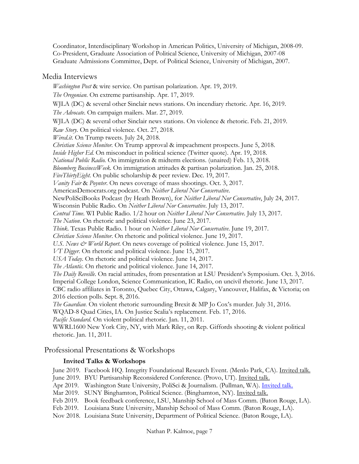Coordinator, Interdisciplinary Workshop in American Politics, University of Michigan, 2008-09. Co-President, Graduate Association of Political Science, University of Michigan, 2007-08 Graduate Admissions Committee, Dept. of Political Science, University of Michigan, 2007.

# Media Interviews

*Washington Post* & wire service. On partisan polarization. Apr. 19, 2019. *The Oregonian*. On extreme partisanship. Apr. 17, 2019. WJLA (DC) & several other Sinclair news stations. On incendiary rhetoric. Apr. 16, 2019. *The Advocate*. On campaign mailers. Mar. 27, 2019. WJLA (DC) & several other Sinclair news stations. On violence & rhetoric. Feb. 21, 2019. *Raw Story.* On political violence. Oct. 27, 2018. *Wired.it.* On Trump tweets. July 24, 2018. *Christian Science Monitor.* On Trump approval & impeachment prospects. June 5, 2018. *Inside Higher Ed.* On misconduct in political science (Twitter quote). Apr. 19, 2018. *National Public Radio.* On immigration & midterm elections. (unaired) Feb. 13, 2018. *Bloomberg BusinessWeek.* On immigration attitudes & partisan polarization. Jan. 25, 2018. *FiveThirtyEight.* On public scholarship & peer review. Dec. 19, 2017. *Vanity Fair* & *Poynter*. On news coverage of mass shootings. Oct. 3, 2017. AmericasDemocrats.org podcast. On *Neither Liberal Nor Conservative*. NewPoliSciBooks Podcast (by Heath Brown), for *Neither Liberal Nor Conservative*, July 24, 2017. Wisconsin Public Radio. On *Neither Liberal Nor Conservative*. July 13, 2017. *Central Time*. WI Public Radio. 1/2 hour on *Neither Liberal Nor Conservative*. July 13, 2017. *The Nation*. On rhetoric and political violence. June 23, 2017. *Think*. Texas Public Radio. 1 hour on *Neither Liberal Nor Conservative*. June 19, 2017. *Christian Science Monitor*. On rhetoric and political violence. June 19, 2017. *U.S. News & World Report*. On news coverage of political violence. June 15, 2017. *VT Digger*. On rhetoric and political violence. June 15, 2017. *USA Today*. On rhetoric and political violence. June 14, 2017. *The Atlantic*. On rhetoric and political violence. June 14, 2017. *The Daily Reveille*. On racial attitudes, from presentation at LSU President's Symposium. Oct. 3, 2016. Imperial College London, Science Communication, IC Radio, on uncivil rhetoric. June 13, 2017. CBC radio affiliates in Toronto, Quebec City, Ottawa, Calgary, Vancouver, Halifax, & Victoria; on 2016 election polls. Sept. 8, 2016. *The Guardian*. On violent rhetoric surrounding Brexit & MP Jo Cox's murder. July 31, 2016. WQAD-8 Quad Cities, IA. On Justice Scalia's replacement. Feb. 17, 2016. *Pacific Standard*. On violent political rhetoric. Jan. 11, 2011. WWRL1600 New York City, NY, with Mark Riley, on Rep. Giffords shooting & violent political rhetoric. Jan. 11, 2011.

# Professional Presentations & Workshops

# **Invited Talks & Workshops**

June 2019. Facebook HQ. Integrity Foundational Research Event. (Menlo Park, CA). Invited talk.

June 2019. BYU Partisanship Reconsidered Conference. (Provo, UT). Invited talk.

- Apr 2019. Washington State University, PoliSci & Journalism. (Pullman, WA). [Invited talk.](https://wsu.hosted.panopto.com/Panopto/Pages/Viewer.aspx?id=d136d8a5-095a-49ac-9beb-aa2a01364e3a)
- Mar 2019. SUNY Binghamton, Political Science. (Binghamton, NY). Invited talk.
- Feb 2019. Book feedback conference, LSU, Manship School of Mass Comm. (Baton Rouge, LA).
- Feb 2019. Louisiana State University, Manship School of Mass Comm. (Baton Rouge, LA).

Nov 2018. Louisiana State University, Department of Political Science. (Baton Rouge, LA).